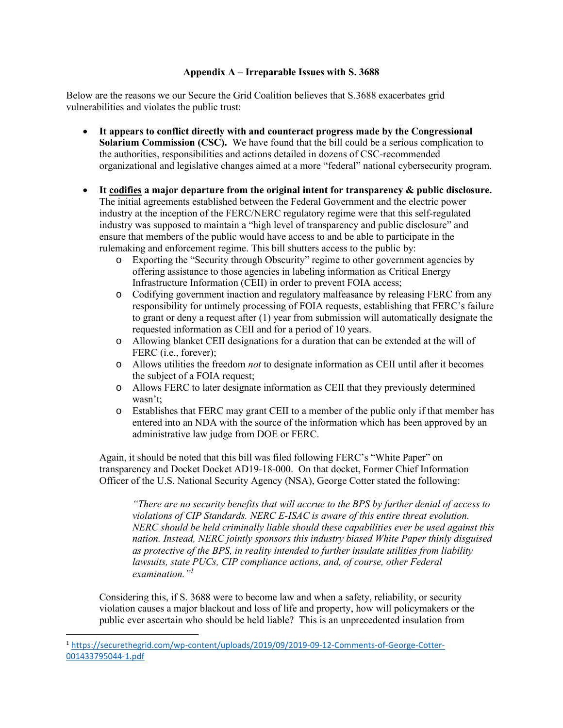## **Appendix A – Irreparable Issues with S. 3688**

Below are the reasons we our Secure the Grid Coalition believes that S.3688 exacerbates grid vulnerabilities and violates the public trust:

- **It appears to conflict directly with and counteract progress made by the Congressional Solarium Commission (CSC).** We have found that the bill could be a serious complication to the authorities, responsibilities and actions detailed in dozens of CSC-recommended organizational and legislative changes aimed at a more "federal" national cybersecurity program.
- **It codifies a major departure from the original intent for transparency & public disclosure.** The initial agreements established between the Federal Government and the electric power industry at the inception of the FERC/NERC regulatory regime were that this self-regulated industry was supposed to maintain a "high level of transparency and public disclosure" and ensure that members of the public would have access to and be able to participate in the rulemaking and enforcement regime. This bill shutters access to the public by:
	- o Exporting the "Security through Obscurity" regime to other government agencies by offering assistance to those agencies in labeling information as Critical Energy Infrastructure Information (CEII) in order to prevent FOIA access;
	- o Codifying government inaction and regulatory malfeasance by releasing FERC from any responsibility for untimely processing of FOIA requests, establishing that FERC's failure to grant or deny a request after (1) year from submission will automatically designate the requested information as CEII and for a period of 10 years.
	- o Allowing blanket CEII designations for a duration that can be extended at the will of FERC (i.e., forever);
	- o Allows utilities the freedom *not* to designate information as CEII until after it becomes the subject of a FOIA request;
	- o Allows FERC to later designate information as CEII that they previously determined wasn't;
	- o Establishes that FERC may grant CEII to a member of the public only if that member has entered into an NDA with the source of the information which has been approved by an administrative law judge from DOE or FERC.

Again, it should be noted that this bill was filed following FERC's "White Paper" on transparency and Docket Docket AD19-18-000. On that docket, Former Chief Information Officer of the U.S. National Security Agency (NSA), George Cotter stated the following:

*"There are no security benefits that will accrue to the BPS by further denial of access to violations of CIP Standards. NERC E-ISAC is aware of this entire threat evolution. NERC should be held criminally liable should these capabilities ever be used against this nation. Instead, NERC jointly sponsors this industry biased White Paper thinly disguised as protective of the BPS, in reality intended to further insulate utilities from liability lawsuits, state PUCs, CIP compliance actions, and, of course, other Federal examination."<sup>1</sup>*

Considering this, if S. 3688 were to become law and when a safety, reliability, or security violation causes a major blackout and loss of life and property, how will policymakers or the public ever ascertain who should be held liable? This is an unprecedented insulation from

<sup>1</sup> [https://securethegrid.com/wp-content/uploads/2019/09/2019-09-12-Comments-of-George-Cotter-](https://securethegrid.com/wp-content/uploads/2019/09/2019-09-12-Comments-of-George-Cotter-001433795044-1.pdf)[001433795044-1.pdf](https://securethegrid.com/wp-content/uploads/2019/09/2019-09-12-Comments-of-George-Cotter-001433795044-1.pdf)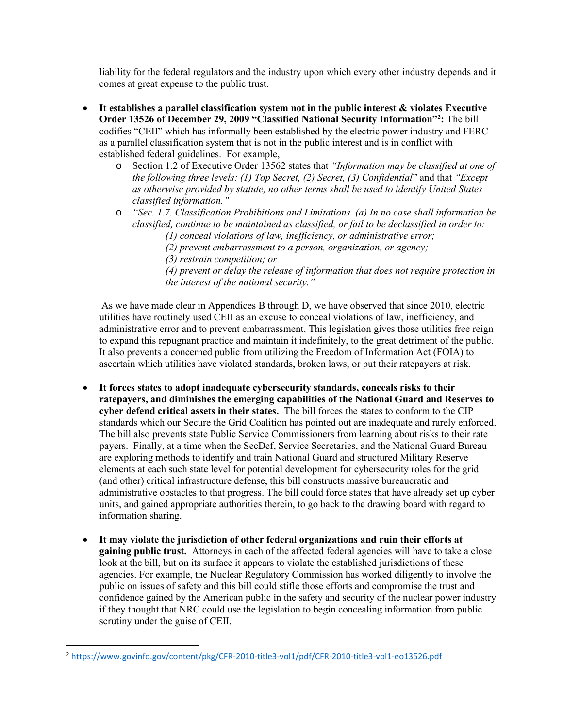liability for the federal regulators and the industry upon which every other industry depends and it comes at great expense to the public trust.

- **It establishes a parallel classification system not in the public interest & violates Executive Order 13526 of December 29, 2009 "Classified National Security Information"<sup>2</sup> :** The bill codifies "CEII" which has informally been established by the electric power industry and FERC as a parallel classification system that is not in the public interest and is in conflict with established federal guidelines. For example,
	- o Section 1.2 of Executive Order 13562 states that *"Information may be classified at one of the following three levels: (1) Top Secret, (2) Secret, (3) Confidential*" and that *"Except as otherwise provided by statute, no other terms shall be used to identify United States classified information."*
	- o *"Sec. 1.7. Classification Prohibitions and Limitations. (a) In no case shall information be classified, continue to be maintained as classified, or fail to be declassified in order to:* 
		- *(1) conceal violations of law, inefficiency, or administrative error;*
		- *(2) prevent embarrassment to a person, organization, or agency;*
		- *(3) restrain competition; or*
		- *(4) prevent or delay the release of information that does not require protection in the interest of the national security."*

As we have made clear in Appendices B through D, we have observed that since 2010, electric utilities have routinely used CEII as an excuse to conceal violations of law, inefficiency, and administrative error and to prevent embarrassment. This legislation gives those utilities free reign to expand this repugnant practice and maintain it indefinitely, to the great detriment of the public. It also prevents a concerned public from utilizing the Freedom of Information Act (FOIA) to ascertain which utilities have violated standards, broken laws, or put their ratepayers at risk.

- **It forces states to adopt inadequate cybersecurity standards, conceals risks to their ratepayers, and diminishes the emerging capabilities of the National Guard and Reserves to cyber defend critical assets in their states.** The bill forces the states to conform to the CIP standards which our Secure the Grid Coalition has pointed out are inadequate and rarely enforced. The bill also prevents state Public Service Commissioners from learning about risks to their rate payers. Finally, at a time when the SecDef, Service Secretaries, and the National Guard Bureau are exploring methods to identify and train National Guard and structured Military Reserve elements at each such state level for potential development for cybersecurity roles for the grid (and other) critical infrastructure defense, this bill constructs massive bureaucratic and administrative obstacles to that progress. The bill could force states that have already set up cyber units, and gained appropriate authorities therein, to go back to the drawing board with regard to information sharing.
- **It may violate the jurisdiction of other federal organizations and ruin their efforts at gaining public trust.** Attorneys in each of the affected federal agencies will have to take a close look at the bill, but on its surface it appears to violate the established jurisdictions of these agencies. For example, the Nuclear Regulatory Commission has worked diligently to involve the public on issues of safety and this bill could stifle those efforts and compromise the trust and confidence gained by the American public in the safety and security of the nuclear power industry if they thought that NRC could use the legislation to begin concealing information from public scrutiny under the guise of CEII.

<sup>2</sup> <https://www.govinfo.gov/content/pkg/CFR-2010-title3-vol1/pdf/CFR-2010-title3-vol1-eo13526.pdf>